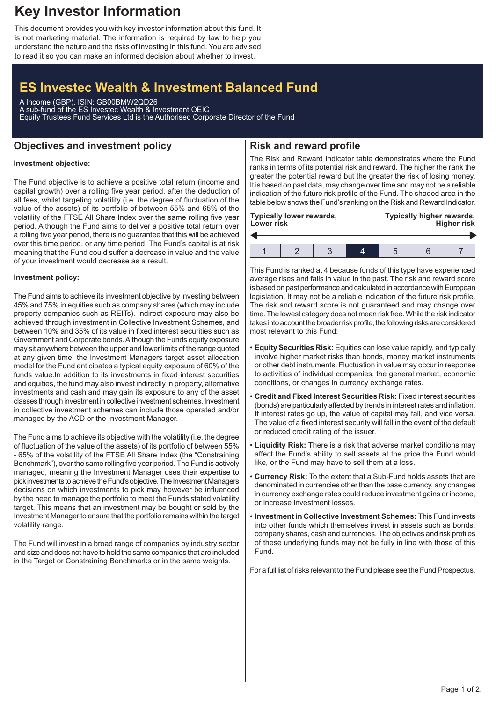# **Key Investor Information**

This document provides you with key investor information about this fund. It is not marketing material. The information is required by law to help you understand the nature and the risks of investing in this fund. You are advised to read it so you can make an informed decision about whether to invest.

# **ES Investec Wealth & Investment Balanced Fund**

A Income (GBP), ISIN: GB00BMW2QD26 A sub-fund of the ES Investec Wealth & Investment OEIC Equity Trustees Fund Services Ltd is the Authorised Corporate Director of the Fund

# **Objectives and investment policy**

# **Risk and reward profile**

#### **Investment objective:**

The Fund objective is to achieve a positive total return (income and capital growth) over a rolling five year period, after the deduction of all fees, whilst targeting volatility (i.e. the degree of fluctuation of the value of the assets) of its portfolio of between 55% and 65% of the volatility of the FTSE All Share Index over the same rolling five year period. Although the Fund aims to deliver a positive total return over a rolling five year period, there is no guarantee that this will be achieved over this time period, or any time period. The Fund's capital is at risk meaning that the Fund could suffer a decrease in value and the value of your investment would decrease as a result.

#### **Investment policy:**

The Fund aims to achieve its investment objective by investing between 45% and 75% in equities such as company shares (which may include property companies such as REITs). Indirect exposure may also be achieved through investment in Collective Investment Schemes, and between 10% and 35% of its value in fixed interest securities such as Government and Corporate bonds.Although the Funds equity exposure may sit anywhere between the upper and lower limits of the range quoted at any given time, the Investment Managers target asset allocation model for the Fund anticipates a typical equity exposure of 60% of the funds value.In addition to its investments in fixed interest securities and equities, the fund may also invest indirectly in property, alternative investments and cash and may gain its exposure to any of the asset classes through investment in collective investment schemes. Investment in collective investment schemes can include those operated and/or managed by the ACD or the Investment Manager.

The Fund aims to achieve its objective with the volatility (i.e. the degree of fluctuation of the value of the assets) of its portfolio of between 55% - 65% of the volatility of the FTSE All Share Index (the "Constraining Benchmark"), over the same rolling five year period. The Fund is actively managed, meaning the Investment Manager uses their expertise to pick investments to achieve the Fund's objective. The Investment Managers decisions on which investments to pick may however be influenced by the need to manage the portfolio to meet the Funds stated volatility target. This means that an investment may be bought or sold by the Investment Manager to ensure that the portfolio remains within the target volatility range.

The Fund will invest in a broad range of companies by industry sector and size and does not have to hold the same companies that are included in the Target or Constraining Benchmarks or in the same weights.

The Risk and Reward Indicator table demonstrates where the Fund ranks in terms of its potential risk and reward. The higher the rank the greater the potential reward but the greater the risk of losing money. It is based on past data, may change over time and may not be a reliable indication of the future risk profile of the Fund. The shaded area in the table below shows the Fund's ranking on the Risk and Reward Indicator.

| Lower risk | <b>Typically lower rewards,</b> |  | Typically higher rewards,<br><b>Higher risk</b> |  |  |  |
|------------|---------------------------------|--|-------------------------------------------------|--|--|--|
|            |                                 |  |                                                 |  |  |  |
|            |                                 |  |                                                 |  |  |  |

This Fund is ranked at 4 because funds of this type have experienced average rises and falls in value in the past. The risk and reward score is based on past performance and calculated in accordance with European legislation. It may not be a reliable indication of the future risk profile. The risk and reward score is not guaranteed and may change over time. The lowest category does not mean risk free.While the risk indicator takes into account the broader risk profile, the following risks are considered most relevant to this Fund:

- **Equity Securities Risk:** Equities can lose value rapidly, and typically involve higher market risks than bonds, money market instruments or other debt instruments. Fluctuation in value may occur in response to activities of individual companies, the general market, economic conditions, or changes in currency exchange rates.
- **Credit and Fixed Interest Securities Risk:** Fixed interest securities (bonds) are particularly affected by trends in interest rates and inflation. If interest rates go up, the value of capital may fall, and vice versa. The value of a fixed interest security will fall in the event of the default or reduced credit rating of the issuer.
- **Liquidity Risk:** There is a risk that adverse market conditions may affect the Fund's ability to sell assets at the price the Fund would like, or the Fund may have to sell them at a loss.
- **Currency Risk:** To the extent that a Sub-Fund holds assets that are denominated in currencies other than the base currency, any changes in currency exchange rates could reduce investment gains or income, or increase investment losses.
- **Investment in Collective Investment Schemes:** This Fund invests into other funds which themselves invest in assets such as bonds, company shares, cash and currencies. The objectives and risk profiles of these underlying funds may not be fully in line with those of this Fund.

For a full list of risks relevant to the Fund please see the Fund Prospectus.